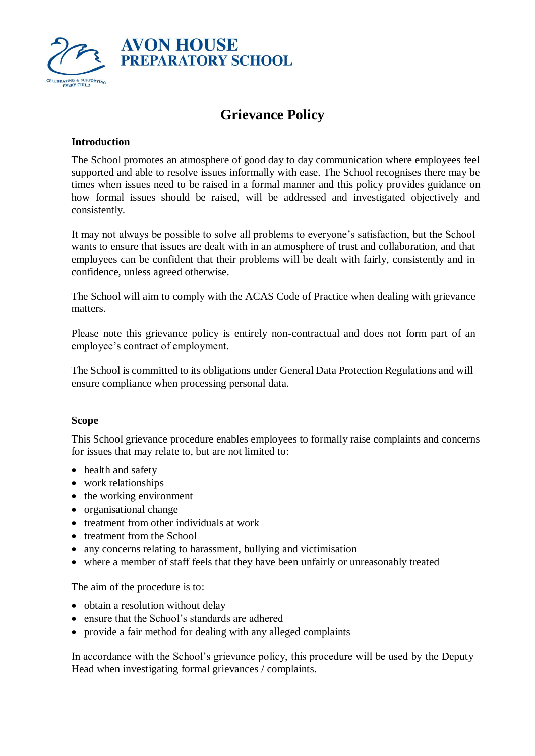

# **Grievance Policy**

## **Introduction**

The School promotes an atmosphere of good day to day communication where employees feel supported and able to resolve issues informally with ease. The School recognises there may be times when issues need to be raised in a formal manner and this policy provides guidance on how formal issues should be raised, will be addressed and investigated objectively and consistently.

It may not always be possible to solve all problems to everyone's satisfaction, but the School wants to ensure that issues are dealt with in an atmosphere of trust and collaboration, and that employees can be confident that their problems will be dealt with fairly, consistently and in confidence, unless agreed otherwise.

The School will aim to comply with the ACAS Code of Practice when dealing with grievance matters.

Please note this grievance policy is entirely non-contractual and does not form part of an employee's contract of employment.

The School is committed to its obligations under General Data Protection Regulations and will ensure compliance when processing personal data.

#### **Scope**

This School grievance procedure enables employees to formally raise complaints and concerns for issues that may relate to, but are not limited to:

- health and safety
- work relationships
- the working environment
- organisational change
- treatment from other individuals at work
- treatment from the School
- any concerns relating to harassment, bullying and victimisation
- where a member of staff feels that they have been unfairly or unreasonably treated

The aim of the procedure is to:

- obtain a resolution without delay
- ensure that the School's standards are adhered
- provide a fair method for dealing with any alleged complaints

In accordance with the School's grievance policy, this procedure will be used by the Deputy Head when investigating formal grievances / complaints.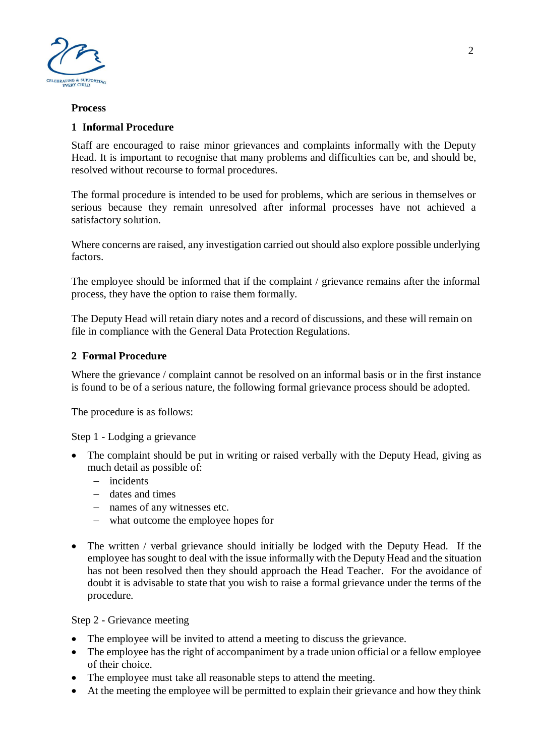

#### **Process**

## **1 Informal Procedure**

Staff are encouraged to raise minor grievances and complaints informally with the Deputy Head. It is important to recognise that many problems and difficulties can be, and should be, resolved without recourse to formal procedures.

The formal procedure is intended to be used for problems, which are serious in themselves or serious because they remain unresolved after informal processes have not achieved a satisfactory solution.

Where concerns are raised, any investigation carried out should also explore possible underlying factors.

The employee should be informed that if the complaint / grievance remains after the informal process, they have the option to raise them formally.

The Deputy Head will retain diary notes and a record of discussions, and these will remain on file in compliance with the General Data Protection Regulations.

#### **2 Formal Procedure**

Where the grievance / complaint cannot be resolved on an informal basis or in the first instance is found to be of a serious nature, the following formal grievance process should be adopted.

The procedure is as follows:

#### Step 1 - Lodging a grievance

- The complaint should be put in writing or raised verbally with the Deputy Head, giving as much detail as possible of:
	- − incidents
	- − dates and times
	- − names of any witnesses etc.
	- − what outcome the employee hopes for
- The written / verbal grievance should initially be lodged with the Deputy Head. If the employee has sought to deal with the issue informally with the Deputy Head and the situation has not been resolved then they should approach the Head Teacher. For the avoidance of doubt it is advisable to state that you wish to raise a formal grievance under the terms of the procedure.

#### Step 2 - Grievance meeting

- The employee will be invited to attend a meeting to discuss the grievance.
- The employee has the right of accompaniment by a trade union official or a fellow employee of their choice.
- The employee must take all reasonable steps to attend the meeting.
- At the meeting the employee will be permitted to explain their grievance and how they think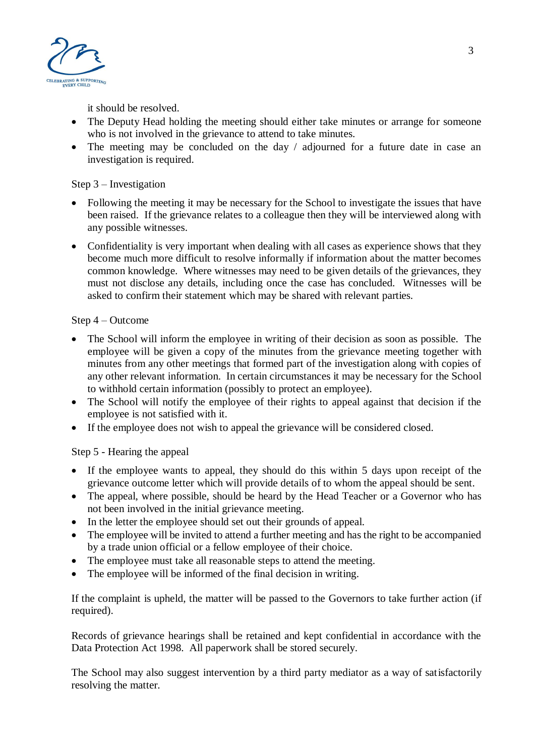

it should be resolved.

- The Deputy Head holding the meeting should either take minutes or arrange for someone who is not involved in the grievance to attend to take minutes.
- The meeting may be concluded on the day / adjourned for a future date in case an investigation is required.

# Step 3 – Investigation

- Following the meeting it may be necessary for the School to investigate the issues that have been raised. If the grievance relates to a colleague then they will be interviewed along with any possible witnesses.
- Confidentiality is very important when dealing with all cases as experience shows that they become much more difficult to resolve informally if information about the matter becomes common knowledge. Where witnesses may need to be given details of the grievances, they must not disclose any details, including once the case has concluded. Witnesses will be asked to confirm their statement which may be shared with relevant parties.

## Step 4 – Outcome

- The School will inform the employee in writing of their decision as soon as possible. The employee will be given a copy of the minutes from the grievance meeting together with minutes from any other meetings that formed part of the investigation along with copies of any other relevant information. In certain circumstances it may be necessary for the School to withhold certain information (possibly to protect an employee).
- The School will notify the employee of their rights to appeal against that decision if the employee is not satisfied with it.
- If the employee does not wish to appeal the grievance will be considered closed.

# Step 5 - Hearing the appeal

- If the employee wants to appeal, they should do this within 5 days upon receipt of the grievance outcome letter which will provide details of to whom the appeal should be sent.
- The appeal, where possible, should be heard by the Head Teacher or a Governor who has not been involved in the initial grievance meeting.
- In the letter the employee should set out their grounds of appeal.
- The employee will be invited to attend a further meeting and has the right to be accompanied by a trade union official or a fellow employee of their choice.
- The employee must take all reasonable steps to attend the meeting.
- The employee will be informed of the final decision in writing.

If the complaint is upheld, the matter will be passed to the Governors to take further action (if required).

Records of grievance hearings shall be retained and kept confidential in accordance with the Data Protection Act 1998. All paperwork shall be stored securely.

The School may also suggest intervention by a third party mediator as a way of satisfactorily resolving the matter.